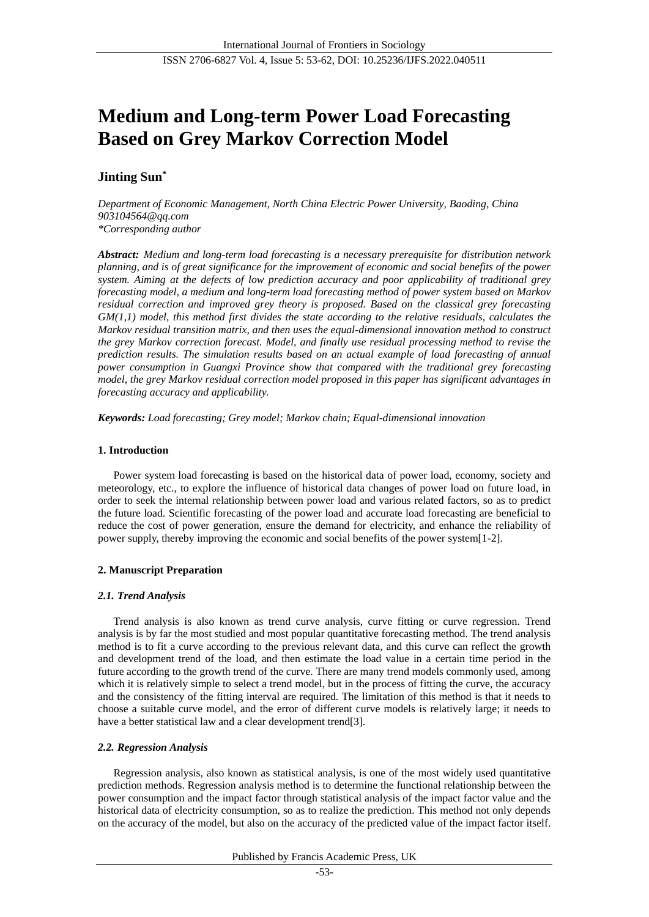# **Medium and Long-term Power Load Forecasting Based on Grey Markov Correction Model**

# **Jinting Sun\***

*Department of Economic Management, North China Electric Power University, Baoding, China 903104564@qq.com \*Corresponding author*

*Abstract: Medium and long-term load forecasting is a necessary prerequisite for distribution network planning, and is of great significance for the improvement of economic and social benefits of the power system. Aiming at the defects of low prediction accuracy and poor applicability of traditional grey forecasting model, a medium and long-term load forecasting method of power system based on Markov residual correction and improved grey theory is proposed. Based on the classical grey forecasting GM(1,1) model, this method first divides the state according to the relative residuals, calculates the Markov residual transition matrix, and then uses the equal-dimensional innovation method to construct the grey Markov correction forecast. Model, and finally use residual processing method to revise the prediction results. The simulation results based on an actual example of load forecasting of annual power consumption in Guangxi Province show that compared with the traditional grey forecasting model, the grey Markov residual correction model proposed in this paper has significant advantages in forecasting accuracy and applicability.*

*Keywords: Load forecasting; Grey model; Markov chain; Equal-dimensional innovation*

# **1. Introduction**

Power system load forecasting is based on the historical data of power load, economy, society and meteorology, etc., to explore the influence of historical data changes of power load on future load, in order to seek the internal relationship between power load and various related factors, so as to predict the future load. Scientific forecasting of the power load and accurate load forecasting are beneficial to reduce the cost of power generation, ensure the demand for electricity, and enhance the reliability of power supply, thereby improving the economic and social benefits of the power system[1-2].

# **2. Manuscript Preparation**

# *2.1. Trend Analysis*

Trend analysis is also known as trend curve analysis, curve fitting or curve regression. Trend analysis is by far the most studied and most popular quantitative forecasting method. The trend analysis method is to fit a curve according to the previous relevant data, and this curve can reflect the growth and development trend of the load, and then estimate the load value in a certain time period in the future according to the growth trend of the curve. There are many trend models commonly used, among which it is relatively simple to select a trend model, but in the process of fitting the curve, the accuracy and the consistency of the fitting interval are required. The limitation of this method is that it needs to choose a suitable curve model, and the error of different curve models is relatively large; it needs to have a better statistical law and a clear development trend[3].

# *2.2. Regression Analysis*

Regression analysis, also known as statistical analysis, is one of the most widely used quantitative prediction methods. Regression analysis method is to determine the functional relationship between the power consumption and the impact factor through statistical analysis of the impact factor value and the historical data of electricity consumption, so as to realize the prediction. This method not only depends on the accuracy of the model, but also on the accuracy of the predicted value of the impact factor itself.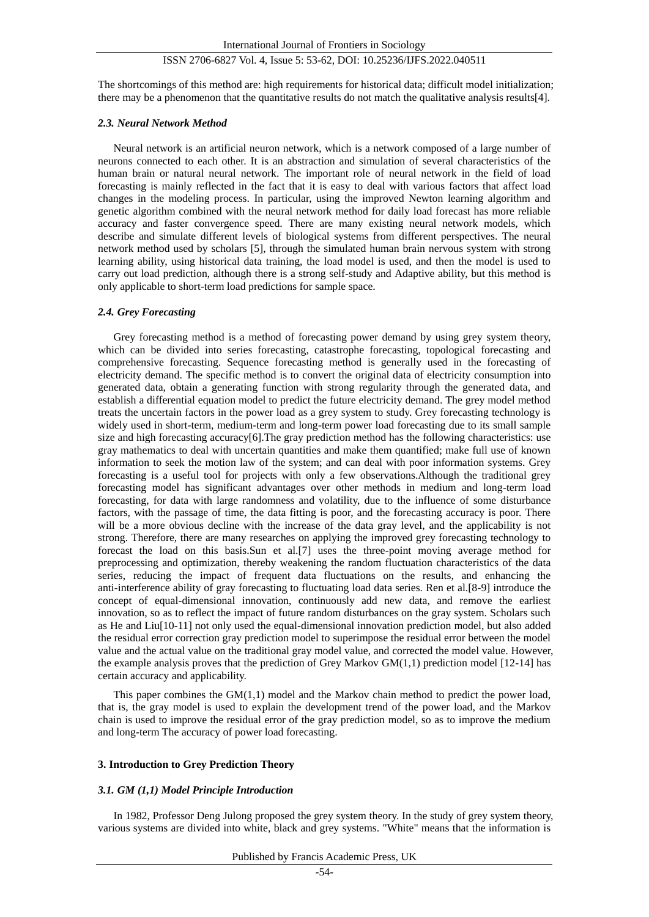The shortcomings of this method are: high requirements for historical data; difficult model initialization; there may be a phenomenon that the quantitative results do not match the qualitative analysis results[4].

#### *2.3. Neural Network Method*

Neural network is an artificial neuron network, which is a network composed of a large number of neurons connected to each other. It is an abstraction and simulation of several characteristics of the human brain or natural neural network. The important role of neural network in the field of load forecasting is mainly reflected in the fact that it is easy to deal with various factors that affect load changes in the modeling process. In particular, using the improved Newton learning algorithm and genetic algorithm combined with the neural network method for daily load forecast has more reliable accuracy and faster convergence speed. There are many existing neural network models, which describe and simulate different levels of biological systems from different perspectives. The neural network method used by scholars [5], through the simulated human brain nervous system with strong learning ability, using historical data training, the load model is used, and then the model is used to carry out load prediction, although there is a strong self-study and Adaptive ability, but this method is only applicable to short-term load predictions for sample space.

## *2.4. Grey Forecasting*

Grey forecasting method is a method of forecasting power demand by using grey system theory, which can be divided into series forecasting, catastrophe forecasting, topological forecasting and comprehensive forecasting. Sequence forecasting method is generally used in the forecasting of electricity demand. The specific method is to convert the original data of electricity consumption into generated data, obtain a generating function with strong regularity through the generated data, and establish a differential equation model to predict the future electricity demand. The grey model method treats the uncertain factors in the power load as a grey system to study. Grey forecasting technology is widely used in short-term, medium-term and long-term power load forecasting due to its small sample size and high forecasting accuracy[6].The gray prediction method has the following characteristics: use gray mathematics to deal with uncertain quantities and make them quantified; make full use of known information to seek the motion law of the system; and can deal with poor information systems. Grey forecasting is a useful tool for projects with only a few observations.Although the traditional grey forecasting model has significant advantages over other methods in medium and long-term load forecasting, for data with large randomness and volatility, due to the influence of some disturbance factors, with the passage of time, the data fitting is poor, and the forecasting accuracy is poor. There will be a more obvious decline with the increase of the data gray level, and the applicability is not strong. Therefore, there are many researches on applying the improved grey forecasting technology to forecast the load on this basis.Sun et al.[7] uses the three-point moving average method for preprocessing and optimization, thereby weakening the random fluctuation characteristics of the data series, reducing the impact of frequent data fluctuations on the results, and enhancing the anti-interference ability of gray forecasting to fluctuating load data series. Ren et al.[8-9] introduce the concept of equal-dimensional innovation, continuously add new data, and remove the earliest innovation, so as to reflect the impact of future random disturbances on the gray system. Scholars such as He and Liu[10-11] not only used the equal-dimensional innovation prediction model, but also added the residual error correction gray prediction model to superimpose the residual error between the model value and the actual value on the traditional gray model value, and corrected the model value. However, the example analysis proves that the prediction of Grey Markov  $GM(1,1)$  prediction model [12-14] has certain accuracy and applicability.

This paper combines the GM(1,1) model and the Markov chain method to predict the power load, that is, the gray model is used to explain the development trend of the power load, and the Markov chain is used to improve the residual error of the gray prediction model, so as to improve the medium and long-term The accuracy of power load forecasting.

## **3. Introduction to Grey Prediction Theory**

## *3.1. GM (1,1) Model Principle Introduction*

In 1982, Professor Deng Julong proposed the grey system theory. In the study of grey system theory, various systems are divided into white, black and grey systems. "White" means that the information is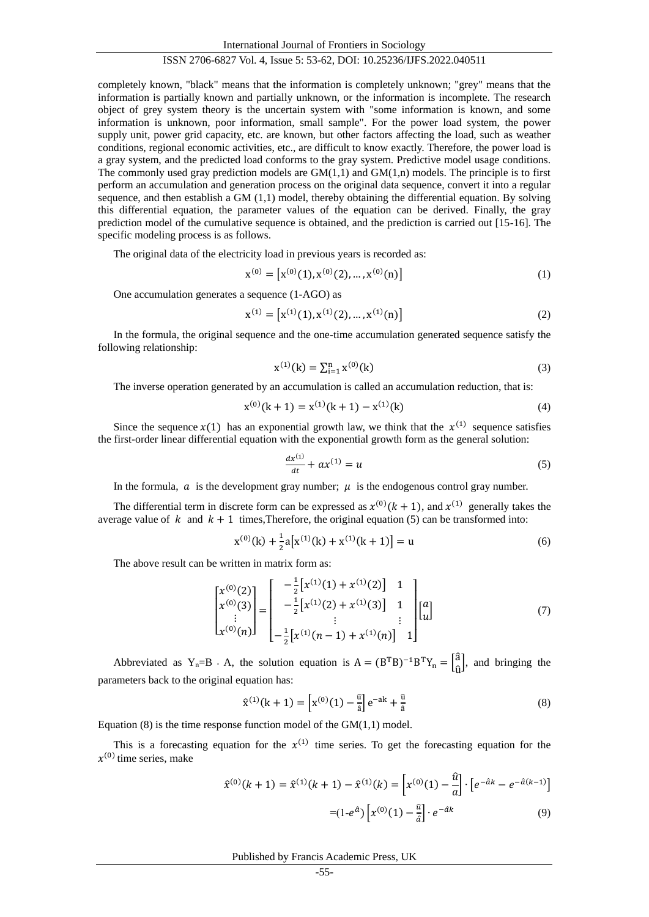International Journal of Frontiers in Sociology

# ISSN 2706-6827 Vol. 4, Issue 5: 53-62, DOI: 10.25236/IJFS.2022.040511

completely known, "black" means that the information is completely unknown; "grey" means that the information is partially known and partially unknown, or the information is incomplete. The research object of grey system theory is the uncertain system with "some information is known, and some information is unknown, poor information, small sample". For the power load system, the power supply unit, power grid capacity, etc. are known, but other factors affecting the load, such as weather conditions, regional economic activities, etc., are difficult to know exactly. Therefore, the power load is a gray system, and the predicted load conforms to the gray system. Predictive model usage conditions. The commonly used gray prediction models are  $GM(1,1)$  and  $GM(1,n)$  models. The principle is to first perform an accumulation and generation process on the original data sequence, convert it into a regular sequence, and then establish a GM (1,1) model, thereby obtaining the differential equation. By solving this differential equation, the parameter values of the equation can be derived. Finally, the gray prediction model of the cumulative sequence is obtained, and the prediction is carried out [15-16]. The specific modeling process is as follows.

The original data of the electricity load in previous years is recorded as:

$$
\mathbf{x}^{(0)} = \left[ \mathbf{x}^{(0)}(1), \mathbf{x}^{(0)}(2), \dots, \mathbf{x}^{(0)}(n) \right] \tag{1}
$$

One accumulation generates a sequence (1-AGO) as

$$
\mathbf{x}^{(1)} = \left[ \mathbf{x}^{(1)}(1), \mathbf{x}^{(1)}(2), \dots, \mathbf{x}^{(1)}(n) \right] \tag{2}
$$

In the formula, the original sequence and the one-time accumulation generated sequence satisfy the following relationship:

$$
x^{(1)}(k) = \sum_{i=1}^{n} x^{(0)}(k)
$$
 (3)

The inverse operation generated by an accumulation is called an accumulation reduction, that is:

$$
x^{(0)}(k+1) = x^{(1)}(k+1) - x^{(1)}(k)
$$
\n(4)

Since the sequence  $x(1)$  has an exponential growth law, we think that the  $x^{(1)}$  sequence satisfies the first-order linear differential equation with the exponential growth form as the general solution:

$$
\frac{dx^{(1)}}{dt} + ax^{(1)} = u \tag{5}
$$

In the formula,  $\alpha$  is the development gray number;  $\mu$  is the endogenous control gray number.

The differential term in discrete form can be expressed as  $x^{(0)}(k + 1)$ , and  $x^{(1)}$  generally takes the average value of k and  $k + 1$  times. Therefore, the original equation (5) can be transformed into:

$$
x^{(0)}(k) + \frac{1}{2}a[x^{(1)}(k) + x^{(1)}(k+1)] = u
$$
\n(6)

The above result can be written in matrix form as:

$$
\begin{bmatrix} x^{(0)}(2) \\ x^{(0)}(3) \\ \vdots \\ x^{(0)}(n) \end{bmatrix} = \begin{bmatrix} -\frac{1}{2} \left[ x^{(1)}(1) + x^{(1)}(2) \right] & 1 \\ -\frac{1}{2} \left[ x^{(1)}(2) + x^{(1)}(3) \right] & 1 \\ \vdots & \vdots \\ -\frac{1}{2} \left[ x^{(1)}(n-1) + x^{(1)}(n) \right] & 1 \end{bmatrix} \begin{bmatrix} a \\ a \end{bmatrix}
$$
(7)

Abbreviated as Y<sub>n</sub>=B · A, the solution equation is  $A = (B^T B)^{-1} B^T Y_n = \int_{\Omega} \hat{a}^T B^T Y_n$  $\left(\begin{matrix} a \\ \hat{u} \end{matrix}\right)$ , and bringing the parameters back to the original equation has:

$$
\hat{\mathbf{x}}^{(1)}(\mathbf{k} + 1) = \left[ \mathbf{x}^{(0)}(1) - \frac{\hat{\mathbf{u}}}{\hat{\mathbf{a}}} \right] e^{-\mathbf{a}\mathbf{k}} + \frac{\hat{\mathbf{u}}}{\hat{\mathbf{a}}} \tag{8}
$$

Equation (8) is the time response function model of the  $GM(1,1)$  model.

This is a forecasting equation for the  $x^{(1)}$  time series. To get the forecasting equation for the  $x^{(0)}$  time series, make

$$
\hat{\chi}^{(0)}(k+1) = \hat{\chi}^{(1)}(k+1) - \hat{\chi}^{(1)}(k) = \left[\chi^{(0)}(1) - \frac{\hat{u}}{a}\right] \cdot \left[e^{-\hat{a}k} - e^{-\hat{a}(k-1)}\right]
$$

$$
= (1 - e^{\hat{a}}) \left[\chi^{(0)}(1) - \frac{\hat{u}}{\hat{a}}\right] \cdot e^{-\hat{a}k} \tag{9}
$$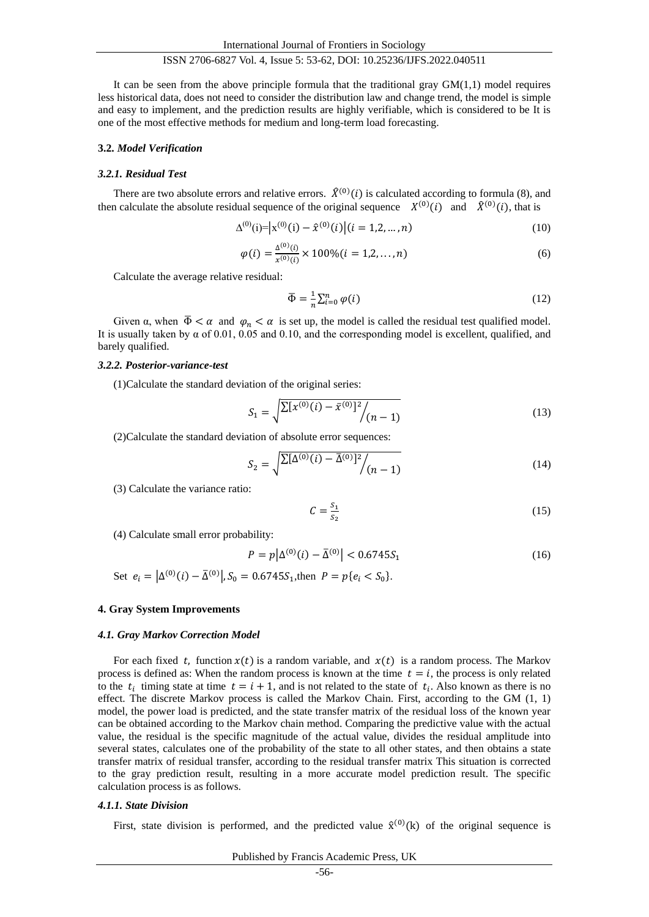It can be seen from the above principle formula that the traditional gray  $GM(1,1)$  model requires less historical data, does not need to consider the distribution law and change trend, the model is simple and easy to implement, and the prediction results are highly verifiable, which is considered to be It is one of the most effective methods for medium and long-term load forecasting.

#### **3.2.** *Model Verification*

#### *3.2.1. Residual Test*

There are two absolute errors and relative errors.  $\hat{X}^{(0)}(i)$  is calculated according to formula (8), and then calculate the absolute residual sequence of the original sequence  $X^{(0)}(i)$  and  $\hat{X}^{(0)}(i)$ , that is

$$
\Delta^{(0)}(i) = |x^{(0)}(i) - \hat{x}^{(0)}(i)| (i = 1, 2, ..., n)
$$
\n(10)

$$
\varphi(i) = \frac{\Delta^{(0)}(i)}{x^{(0)}(i)} \times 100\% (i = 1, 2, ..., n)
$$
\n(6)

Calculate the average relative residual:

$$
\overline{\Phi} = \frac{1}{n} \sum_{i=0}^{n} \varphi(i) \tag{12}
$$

Given  $\alpha$ , when  $\overline{\Phi} < \alpha$  and  $\varphi_n < \alpha$  is set up, the model is called the residual test qualified model. It is usually taken by  $\alpha$  of 0.01, 0.05 and 0.10, and the corresponding model is excellent, qualified, and barely qualified.

#### *3.2.2. Posterior-variance-test*

(1)Calculate the standard deviation of the original series:

$$
S_1 = \sqrt{\sum [x^{(0)}(i) - \bar{x}^{(0)}]^2 / (n-1)}
$$
\n(13)

(2)Calculate the standard deviation of absolute error sequences:

$$
S_2 = \sqrt{\sum [\Delta^{(0)}(i) - \bar{\Delta}^{(0)}]^2 / (n-1)}
$$
(14)

(3) Calculate the variance ratio:

$$
C = \frac{S_1}{S_2} \tag{15}
$$

(4) Calculate small error probability:

$$
P = p\left|\Delta^{(0)}(i) - \bar{\Delta}^{(0)}\right| < 0.6745S_1 \tag{16}
$$

Set  $e_i = |\Delta^{(0)}(i) - \bar{\Delta}^{(0)}|$ ,  $S_0 = 0.6745S_1$ , then  $P = p\{e_i < S_0\}$ .

#### **4. Gray System Improvements**

#### *4.1. Gray Markov Correction Model*

For each fixed t, function  $x(t)$  is a random variable, and  $x(t)$  is a random process. The Markov process is defined as: When the random process is known at the time  $t = i$ , the process is only related to the  $t_i$  timing state at time  $t = i + 1$ , and is not related to the state of  $t_i$ . Also known as there is no effect. The discrete Markov process is called the Markov Chain. First, according to the GM (1, 1) model, the power load is predicted, and the state transfer matrix of the residual loss of the known year can be obtained according to the Markov chain method. Comparing the predictive value with the actual value, the residual is the specific magnitude of the actual value, divides the residual amplitude into several states, calculates one of the probability of the state to all other states, and then obtains a state transfer matrix of residual transfer, according to the residual transfer matrix This situation is corrected to the gray prediction result, resulting in a more accurate model prediction result. The specific calculation process is as follows.

#### *4.1.1. State Division*

First, state division is performed, and the predicted value  $\hat{x}^{(0)}(k)$  of the original sequence is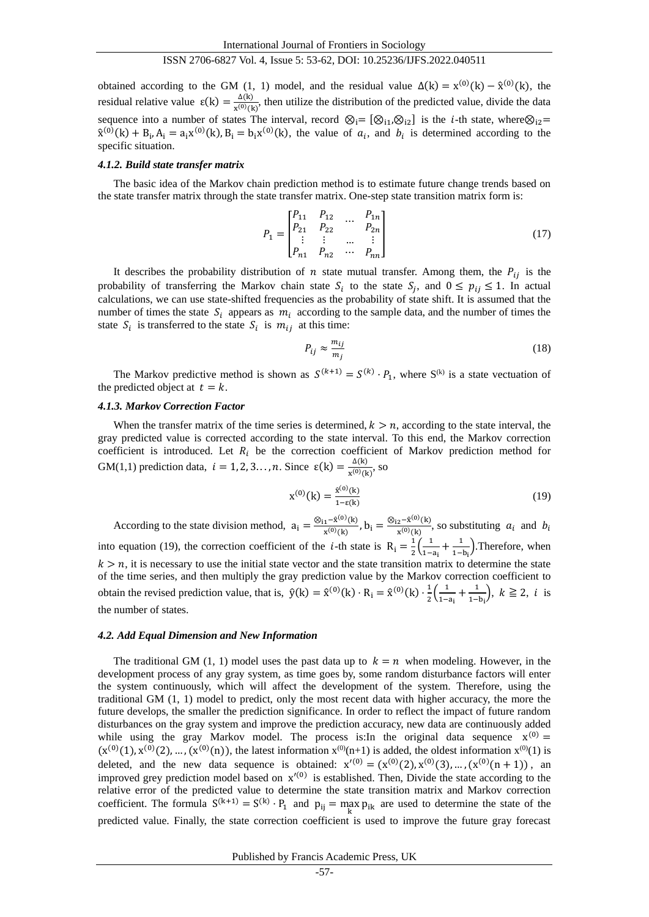obtained according to the GM (1, 1) model, and the residual value  $\Delta(k) = x^{(0)}(k) - \hat{x}^{(0)}(k)$ , the residual relative value  $\varepsilon(k) = \frac{\Delta(k)}{n^{(0)}\Omega}$  $\frac{\Delta(K)}{x^{(0)}(k)}$ , then utilize the distribution of the predicted value, divide the data sequence into a number of states The interval, record  $\otimes_i = [\otimes_{i1}, \otimes_{i2}]$  is the *i*-th state, where  $\otimes_{i2}$ =  $\hat{x}^{(0)}(k) + B_i$ ,  $A_i = a_i x^{(0)}(k)$ ,  $B_i = b_i x^{(0)}(k)$ , the value of  $a_i$ , and  $b_i$  is determined according to the specific situation.

#### *4.1.2. Build state transfer matrix*

The basic idea of the Markov chain prediction method is to estimate future change trends based on the state transfer matrix through the state transfer matrix. One-step state transition matrix form is:

$$
P_1 = \begin{bmatrix} P_{11} & P_{12} & \dots & P_{1n} \\ P_{21} & P_{22} & & P_{2n} \\ \vdots & \vdots & \dots & \vdots \\ P_{n1} & P_{n2} & \dots & P_{nn} \end{bmatrix}
$$
 (17)

It describes the probability distribution of  $n$  state mutual transfer. Among them, the  $P_{ij}$  is the probability of transferring the Markov chain state  $S_i$  to the state  $S_j$ , and  $0 \le p_{ij} \le 1$ . In actual calculations, we can use state-shifted frequencies as the probability of state shift. It is assumed that the number of times the state  $S_i$  appears as  $m_i$  according to the sample data, and the number of times the state  $S_i$  is transferred to the state  $S_i$  is  $m_{ij}$  at this time:

$$
P_{ij} \approx \frac{m_{ij}}{m_j} \tag{18}
$$

The Markov predictive method is shown as  $S^{(k+1)} = S^{(k)} \cdot P_1$ , where  $S^{(k)}$  is a state vectuation of the predicted object at  $t = k$ .

#### *4.1.3. Markov Correction Factor*

When the transfer matrix of the time series is determined,  $k > n$ , according to the state interval, the gray predicted value is corrected according to the state interval. To this end, the Markov correction coefficient is introduced. Let  $R_i$  be the correction coefficient of Markov prediction method for GM(1,1) prediction data,  $i = 1, 2, 3, \ldots, n$ . Since  $\varepsilon(k) = \frac{\Delta(k)}{n^{(0)}},$  $\frac{\Delta(K)}{x^{(0)}(k)}$ , so

$$
x^{(0)}(k) = \frac{\hat{x}^{(0)}(k)}{1 - \varepsilon(k)}\tag{19}
$$

According to the state division method,  $a_i = \frac{\otimes_{i1} - \hat{x}^{(0)}(k)}{x^{(0)}(k)}$  $\frac{1-\hat{x}^{(0)}(k)}{x^{(0)}(k)}$ ,  $b_i = \frac{\otimes_{i2} - \hat{x}^{(0)}(k)}{x^{(0)}(k)}$  $\frac{2^{-\mathbf{x} \cdot \mathbf{R}}(\mathbf{x})}{\mathbf{x}^{(0)}(\mathbf{k})}$ , so substituting  $a_i$  and  $b_i$ into equation (19), the correction coefficient of the *i*-th state is  $R_i = \frac{1}{2}$  $rac{1}{2} iggl( \frac{1}{1 -} iggr)$  $\frac{1}{1-a_i} + \frac{1}{1-a_i}$  $\frac{1}{1-b_i}$ ). Therefore, when  $k > n$ , it is necessary to use the initial state vector and the state transition matrix to determine the state of the time series, and then multiply the gray prediction value by the Markov correction coefficient to obtain the revised prediction value, that is,  $\hat{y}(k) = \hat{x}^{(0)}(k) \cdot R_i = \hat{x}^{(0)}(k) \cdot \frac{1}{2}$  $rac{1}{2} iggl( \frac{1}{1-} iggr)$  $\frac{1}{1-a_i} + \frac{1}{1-a_i}$  $\frac{1}{1-b_i}$ ,  $k \ge 2$ , *i* is the number of states.

#### *4.2. Add Equal Dimension and New Information*

The traditional GM (1, 1) model uses the past data up to  $k = n$  when modeling. However, in the development process of any gray system, as time goes by, some random disturbance factors will enter the system continuously, which will affect the development of the system. Therefore, using the traditional GM (1, 1) model to predict, only the most recent data with higher accuracy, the more the future develops, the smaller the prediction significance. In order to reflect the impact of future random disturbances on the gray system and improve the prediction accuracy, new data are continuously added while using the gray Markov model. The process is: In the original data sequence  $x^{(0)} =$  $(x^{(0)}(1), x^{(0)}(2), ..., (x^{(0)}(n))$ , the latest information  $x^{(0)}(n+1)$  is added, the oldest information  $x^{(0)}(1)$  is deleted, and the new data sequence is obtained:  $x'^{(0)} = (x^{(0)}(2), x^{(0)}(3), ..., (x^{(0)}(n+1))$ , an improved grey prediction model based on  $x'^{(0)}$  is established. Then, Divide the state according to the relative error of the predicted value to determine the state transition matrix and Markov correction coefficient. The formula  $S^{(k+1)} = S^{(k)} \cdot P_1$  and  $p_{ij} = \max_k p_{ik}$  are used to determine the state of the predicted value. Finally, the state correction coefficient is used to improve the future gray forecast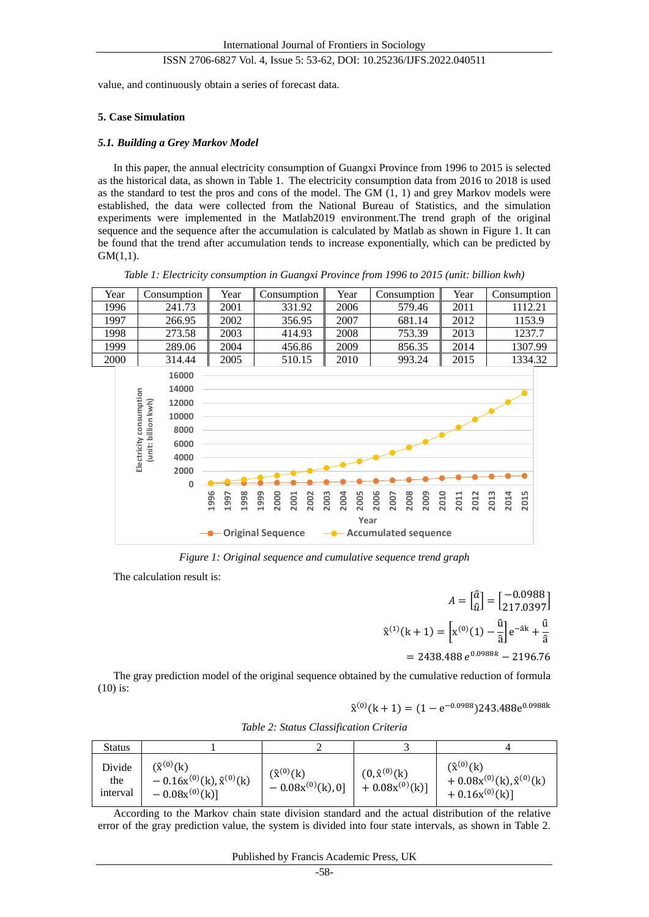value, and continuously obtain a series of forecast data.

# **5. Case Simulation**

## *5.1. Building a Grey Markov Model*

In this paper, the annual electricity consumption of Guangxi Province from 1996 to 2015 is selected as the historical data, as shown in Table 1. The electricity consumption data from 2016 to 2018 is used as the standard to test the pros and cons of the model. The GM (1, 1) and grey Markov models were established, the data were collected from the National Bureau of Statistics, and the simulation experiments were implemented in the Matlab2019 environment.The trend graph of the original sequence and the sequence after the accumulation is calculated by Matlab as shown in Figure 1. It can be found that the trend after accumulation tends to increase exponentially, which can be predicted by GM(1,1).



*Table 1: Electricity consumption in Guangxi Province from 1996 to 2015 (unit: billion kwh)*

*Figure 1: Original sequence and cumulative sequence trend graph*

The calculation result is:

 $A = \begin{bmatrix} \hat{a} \\ a \end{bmatrix}$  $\begin{bmatrix} \hat{a} \\ \hat{u} \end{bmatrix} = \begin{bmatrix} -0.0988 \\ 217.0397 \end{bmatrix}$  $\hat{x}^{(1)}(k+1) = \left[x^{(0)}(1) - \frac{\hat{u}}{2}\right]$  $\left[\frac{\hat{u}}{\hat{a}}\right]e^{-\hat{a}k} + \frac{\hat{u}}{\hat{a}}$ â  $= 2438.488 e^{0.0988k} - 2196.76$ 

The gray prediction model of the original sequence obtained by the cumulative reduction of formula (10) is:

 $\hat{x}^{(0)}(k+1) = (1 - e^{-0.0988})243.488e^{0.0988k}$ 

|  |  |  |  |  | Table 2: Status Classification Criteria |
|--|--|--|--|--|-----------------------------------------|
|--|--|--|--|--|-----------------------------------------|

| <b>Status</b>             |                                                                                  |                                              |                                              |                                                                                   |
|---------------------------|----------------------------------------------------------------------------------|----------------------------------------------|----------------------------------------------|-----------------------------------------------------------------------------------|
| Divide<br>the<br>interval | $(\hat{x}^{(0)}(k))$<br>$-0.16x^{(0)}(k), \hat{x}^{(0)}(k)$<br>$-0.08x^{(0)}(k)$ | $(\hat{x}^{(0)}(k))$<br>$-0.08x^{(0)}(k),0]$ | $(0,\hat{x}^{(0)}(k))$<br>$+0.08x^{(0)}(k)]$ | $(\hat{x}^{(0)}(k))$<br>$+0.08x^{(0)}(k), \hat{x}^{(0)}(k)$<br>$+ 0.16x^{(0)}(k)$ |

According to the Markov chain state division standard and the actual distribution of the relative error of the gray prediction value, the system is divided into four state intervals, as shown in Table 2.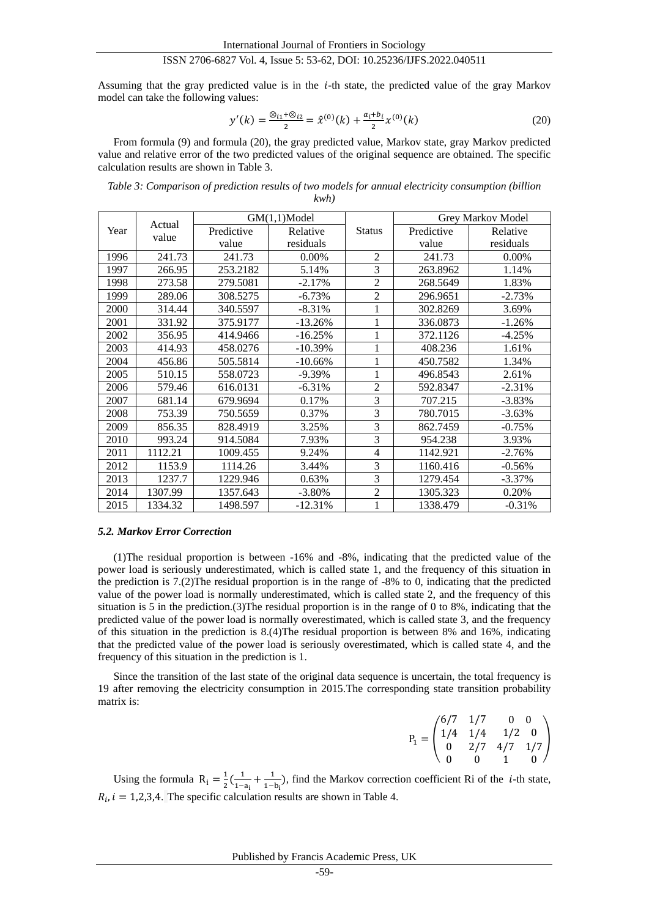Assuming that the gray predicted value is in the  $i$ -th state, the predicted value of the gray Markov model can take the following values:

$$
y'(k) = \frac{\otimes_{i1} \otimes_{i2}}{2} = \hat{x}^{(0)}(k) + \frac{a_i + b_i}{2} x^{(0)}(k)
$$
 (20)

From formula (9) and formula (20), the gray predicted value, Markov state, gray Markov predicted value and relative error of the two predicted values of the original sequence are obtained. The specific calculation results are shown in Table 3.

*Table 3: Comparison of prediction results of two models for annual electricity consumption (billion* 

*kwh)*

| Actual |         | $GM(1,1)$ Model |            |                | Grey Markov Model |           |
|--------|---------|-----------------|------------|----------------|-------------------|-----------|
| Year   | value   | Predictive      | Relative   | <b>Status</b>  | Predictive        | Relative  |
|        |         | value           | residuals  |                | value             | residuals |
| 1996   | 241.73  | 241.73          | 0.00%      | $\overline{2}$ | 241.73            | 0.00%     |
| 1997   | 266.95  | 253.2182        | 5.14%      | 3              | 263.8962          | 1.14%     |
| 1998   | 273.58  | 279.5081        | $-2.17%$   | $\overline{2}$ | 268.5649          | 1.83%     |
| 1999   | 289.06  | 308.5275        | $-6.73%$   | $\overline{2}$ | 296.9651          | $-2.73%$  |
| 2000   | 314.44  | 340.5597        | $-8.31%$   | 1              | 302.8269          | 3.69%     |
| 2001   | 331.92  | 375.9177        | $-13.26%$  | 1              | 336.0873          | $-1.26%$  |
| 2002   | 356.95  | 414.9466        | $-16.25%$  | 1              | 372.1126          | $-4.25%$  |
| 2003   | 414.93  | 458.0276        | $-10.39%$  | 1              | 408.236           | 1.61%     |
| 2004   | 456.86  | 505.5814        | $-10.66\%$ | 1              | 450.7582          | 1.34%     |
| 2005   | 510.15  | 558.0723        | $-9.39%$   | 1              | 496.8543          | 2.61%     |
| 2006   | 579.46  | 616.0131        | $-6.31%$   | $\overline{2}$ | 592.8347          | $-2.31%$  |
| 2007   | 681.14  | 679.9694        | 0.17%      | 3              | 707.215           | $-3.83%$  |
| 2008   | 753.39  | 750.5659        | 0.37%      | 3              | 780.7015          | $-3.63\%$ |
| 2009   | 856.35  | 828.4919        | 3.25%      | 3              | 862.7459          | $-0.75%$  |
| 2010   | 993.24  | 914.5084        | 7.93%      | 3              | 954.238           | 3.93%     |
| 2011   | 1112.21 | 1009.455        | 9.24%      | $\overline{4}$ | 1142.921          | $-2.76%$  |
| 2012   | 1153.9  | 1114.26         | 3.44%      | 3              | 1160.416          | $-0.56%$  |
| 2013   | 1237.7  | 1229.946        | 0.63%      | 3              | 1279.454          | $-3.37\%$ |
| 2014   | 1307.99 | 1357.643        | $-3.80%$   | $\overline{2}$ | 1305.323          | 0.20%     |
| 2015   | 1334.32 | 1498.597        | $-12.31%$  | 1              | 1338.479          | $-0.31%$  |

#### *5.2. Markov Error Correction*

(1)The residual proportion is between -16% and -8%, indicating that the predicted value of the power load is seriously underestimated, which is called state 1, and the frequency of this situation in the prediction is 7.(2)The residual proportion is in the range of -8% to 0, indicating that the predicted value of the power load is normally underestimated, which is called state 2, and the frequency of this situation is 5 in the prediction.(3)The residual proportion is in the range of 0 to 8%, indicating that the predicted value of the power load is normally overestimated, which is called state 3, and the frequency of this situation in the prediction is 8.(4)The residual proportion is between 8% and 16%, indicating that the predicted value of the power load is seriously overestimated, which is called state 4, and the frequency of this situation in the prediction is 1.

Since the transition of the last state of the original data sequence is uncertain, the total frequency is 19 after removing the electricity consumption in 2015.The corresponding state transition probability matrix is:

$$
P_1 = \begin{pmatrix} 6/7 & 1/7 & 0 & 0 \\ 1/4 & 1/4 & 1/2 & 0 \\ 0 & 2/7 & 4/7 & 1/7 \\ 0 & 0 & 1 & 0 \end{pmatrix}
$$

Using the formula  $R_i = \frac{1}{2}$  $\frac{1}{2}(\frac{1}{1-1})$  $\frac{1}{1-a_i} + \frac{1}{1-a_i}$  $\frac{1}{1-b_i}$ ), find the Markov correction coefficient Ri of the *i*-th state,  $R_i$ ,  $i = 1,2,3,4$ . The specific calculation results are shown in Table 4.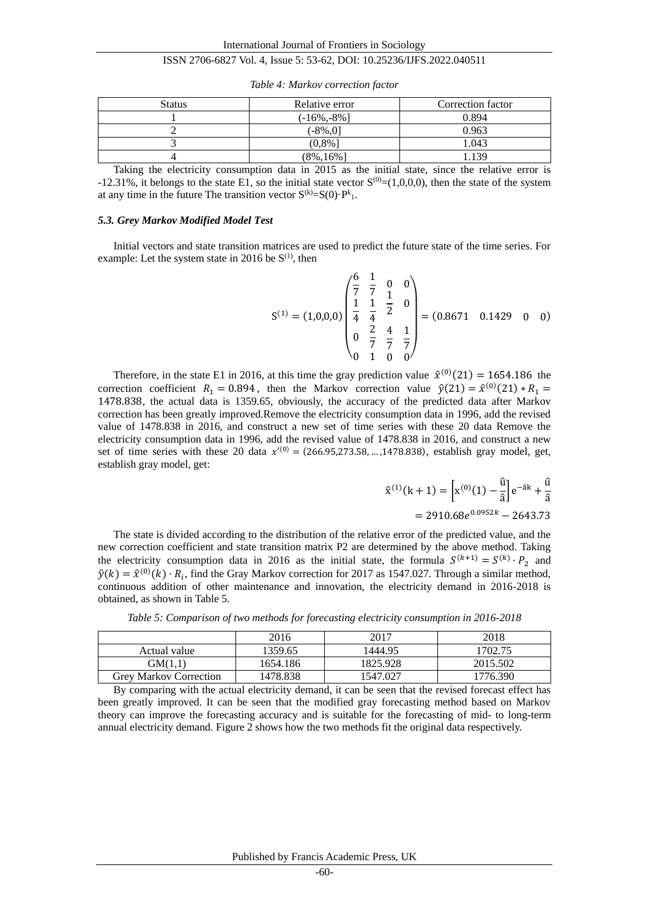| Status | Relative error  | Correction factor |
|--------|-----------------|-------------------|
|        | $(-16\%, -8\%)$ | 0.894             |
|        | (-8%.01         | 0.963             |
|        | (0,8%]          | 1.043             |
|        | $(8\%, 16\%)$   | .139              |

*Table 4: Markov correction factor*

Taking the electricity consumption data in 2015 as the initial state, since the relative error is -12.31%, it belongs to the state E1, so the initial state vector  $S^{(0)}=(1,0,0,0)$ , then the state of the system at any time in the future The transition vector  $S^{(k)} = S(0)P^{k}$ .

## *5.3. Grey Markov Modified Model Test*

Initial vectors and state transition matrices are used to predict the future state of the time series. For example: Let the system state in 2016 be  $S^{(1)}$ , then

$$
S^{(1)} = (1,0,0,0) \begin{pmatrix} \frac{6}{7} & \frac{1}{7} & 0 & 0 \\ \frac{1}{4} & \frac{1}{4} & \frac{1}{2} & 0 \\ 0 & \frac{2}{7} & \frac{4}{7} & \frac{1}{7} \\ 0 & 1 & 0 & 0 \end{pmatrix} = (0.8671 \quad 0.1429 \quad 0 \quad 0)
$$

Therefore, in the state E1 in 2016, at this time the gray prediction value  $\hat{x}^{(0)}(21) = 1654.186$  the correction coefficient  $R_1 = 0.894$ , then the Markov correction value  $\hat{y}(21) = \hat{x}^{(0)}(21) * R_1 =$ 1478.838, the actual data is 1359.65, obviously, the accuracy of the predicted data after Markov correction has been greatly improved.Remove the electricity consumption data in 1996, add the revised value of 1478.838 in 2016, and construct a new set of time series with these 20 data Remove the electricity consumption data in 1996, add the revised value of 1478.838 in 2016, and construct a new set of time series with these 20 data  $x^{(0)} = (266.95,273.58,...,1478.838)$ , establish gray model, get, establish gray model, get:

$$
\hat{x}^{(1)}(k+1) = \left[x^{(0)}(1) - \frac{\hat{u}}{\hat{a}}\right]e^{-\hat{a}k} + \frac{\hat{u}}{\hat{a}}
$$

$$
= 2910.68e^{0.0952k} - 2643.73
$$

The state is divided according to the distribution of the relative error of the predicted value, and the new correction coefficient and state transition matrix P2 are determined by the above method. Taking the electricity consumption data in 2016 as the initial state, the formula  $S^{(k+1)} = S^{(k)} \cdot P_2$  and  $\hat{y}(k) = \hat{x}^{(0)}(k) \cdot R_i$ , find the Gray Markov correction for 2017 as 1547.027. Through a similar method, continuous addition of other maintenance and innovation, the electricity demand in 2016-2018 is obtained, as shown in Table 5.

*Table 5: Comparison of two methods for forecasting electricity consumption in 2016-2018*

|                               | 2016     | 2017     | 2018     |
|-------------------------------|----------|----------|----------|
| Actual value                  | 1359.65  | 1444.95  | 1702.75  |
| GM(1.1)                       | 1654.186 | 1825.928 | 2015.502 |
| <b>Grey Markov Correction</b> | 1478.838 | 1547.027 | 776.390  |

By comparing with the actual electricity demand, it can be seen that the revised forecast effect has been greatly improved. It can be seen that the modified gray forecasting method based on Markov theory can improve the forecasting accuracy and is suitable for the forecasting of mid- to long-term annual electricity demand. Figure 2 shows how the two methods fit the original data respectively.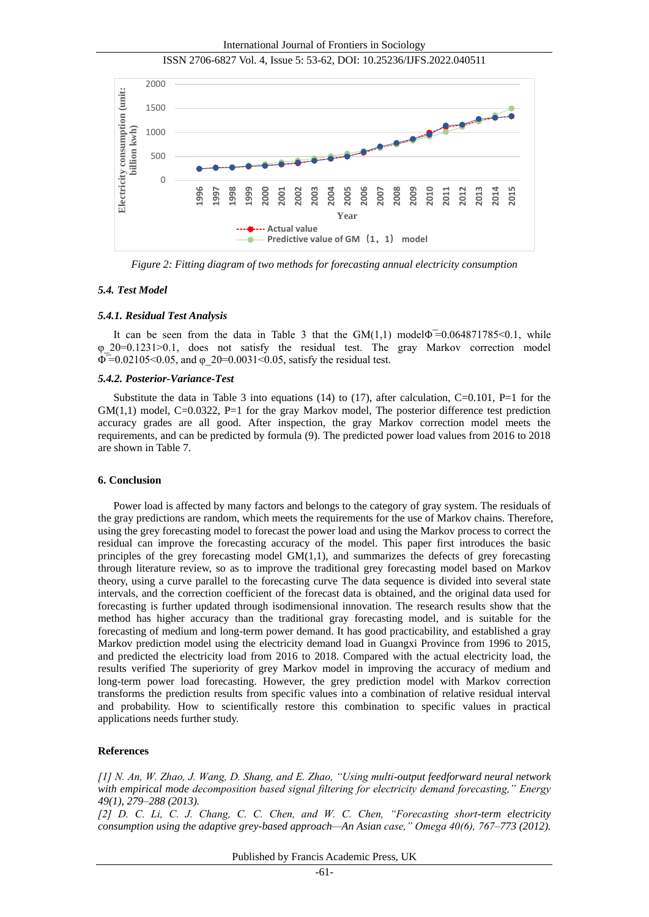International Journal of Frontiers in Sociology





*Figure 2: Fitting diagram of two methods for forecasting annual electricity consumption*

# *5.4. Test Model*

## *5.4.1. Residual Test Analysis*

It can be seen from the data in Table 3 that the  $GM(1,1)$  model $\Phi = 0.064871785 \le 0.1$ , while φ\_20=0.1231>0.1, does not satisfy the residual test. The gray Markov correction model  $\Phi = 0.02105 \le 0.05$ , and  $\phi$  20=0.0031 \leq 0.05, satisfy the residual test.

# *5.4.2. Posterior-Variance-Test*

Substitute the data in Table 3 into equations (14) to (17), after calculation,  $C=0.101$ ,  $P=1$  for the GM(1,1) model, C=0.0322, P=1 for the gray Markov model, The posterior difference test prediction accuracy grades are all good. After inspection, the gray Markov correction model meets the requirements, and can be predicted by formula (9). The predicted power load values from 2016 to 2018 are shown in Table 7.

## **6. Conclusion**

Power load is affected by many factors and belongs to the category of gray system. The residuals of the gray predictions are random, which meets the requirements for the use of Markov chains. Therefore, using the grey forecasting model to forecast the power load and using the Markov process to correct the residual can improve the forecasting accuracy of the model. This paper first introduces the basic principles of the grey forecasting model  $GM(1,1)$ , and summarizes the defects of grey forecasting through literature review, so as to improve the traditional grey forecasting model based on Markov theory, using a curve parallel to the forecasting curve The data sequence is divided into several state intervals, and the correction coefficient of the forecast data is obtained, and the original data used for forecasting is further updated through isodimensional innovation. The research results show that the method has higher accuracy than the traditional gray forecasting model, and is suitable for the forecasting of medium and long-term power demand. It has good practicability, and established a gray Markov prediction model using the electricity demand load in Guangxi Province from 1996 to 2015, and predicted the electricity load from 2016 to 2018. Compared with the actual electricity load, the results verified The superiority of grey Markov model in improving the accuracy of medium and long-term power load forecasting. However, the grey prediction model with Markov correction transforms the prediction results from specific values into a combination of relative residual interval and probability. How to scientifically restore this combination to specific values in practical applications needs further study.

## **References**

*[1] N. An, W. Zhao, J. Wang, D. Shang, and E. Zhao, "Using multi-output feedforward neural network with empirical mode decomposition based signal filtering for electricity demand forecasting," Energy 49(1), 279–288 (2013).* 

*[2] D. C. Li, C. J. Chang, C. C. Chen, and W. C. Chen, "Forecasting short-term electricity consumption using the adaptive grey-based approach—An Asian case," Omega 40(6), 767–773 (2012).*